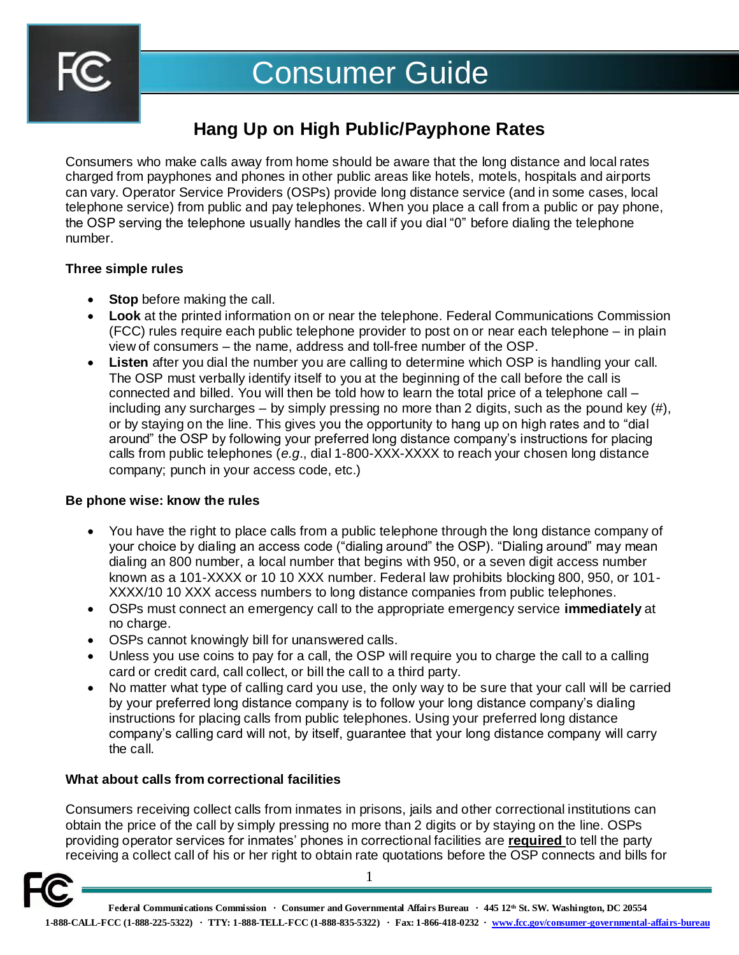

# **Hang Up on High Public/Payphone Rates**

Consumers who make calls away from home should be aware that the long distance and local rates charged from payphones and phones in other public areas like hotels, motels, hospitals and airports can vary. Operator Service Providers (OSPs) provide long distance service (and in some cases, local telephone service) from public and pay telephones. When you place a call from a public or pay phone, the OSP serving the telephone usually handles the call if you dial "0" before dialing the telephone number.

## **Three simple rules**

- **Stop** before making the call.
- **Look** at the printed information on or near the telephone. Federal Communications Commission (FCC) rules require each public telephone provider to post on or near each telephone – in plain view of consumers – the name, address and toll-free number of the OSP.
- **Listen** after you dial the number you are calling to determine which OSP is handling your call. The OSP must verbally identify itself to you at the beginning of the call before the call is connected and billed. You will then be told how to learn the total price of a telephone call – including any surcharges – by simply pressing no more than 2 digits, such as the pound key (#), or by staying on the line. This gives you the opportunity to hang up on high rates and to "dial around" the OSP by following your preferred long distance company's instructions for placing calls from public telephones (*e.g*., dial 1-800-XXX-XXXX to reach your chosen long distance company; punch in your access code, etc.)

### **Be phone wise: know the rules**

- You have the right to place calls from a public telephone through the long distance company of your choice by dialing an access code ("dialing around" the OSP). "Dialing around" may mean dialing an 800 number, a local number that begins with 950, or a seven digit access number known as a 101-XXXX or 10 10 XXX number. Federal law prohibits blocking 800, 950, or 101- XXXX/10 10 XXX access numbers to long distance companies from public telephones.
- OSPs must connect an emergency call to the appropriate emergency service **immediately** at no charge.
- OSPs cannot knowingly bill for unanswered calls.
- Unless you use coins to pay for a call, the OSP will require you to charge the call to a calling card or credit card, call collect, or bill the call to a third party.
- No matter what type of calling card you use, the only way to be sure that your call will be carried by your preferred long distance company is to follow your long distance company's dialing instructions for placing calls from public telephones. Using your preferred long distance company's calling card will not, by itself, guarantee that your long distance company will carry the call.

# **What about calls from correctional facilities**

Consumers receiving collect calls from inmates in prisons, jails and other correctional institutions can obtain the price of the call by simply pressing no more than 2 digits or by staying on the line. OSPs providing operator services for inmates' phones in correctional facilities are **required** to tell the party receiving a collect call of his or her right to obtain rate quotations before the OSP connects and bills for